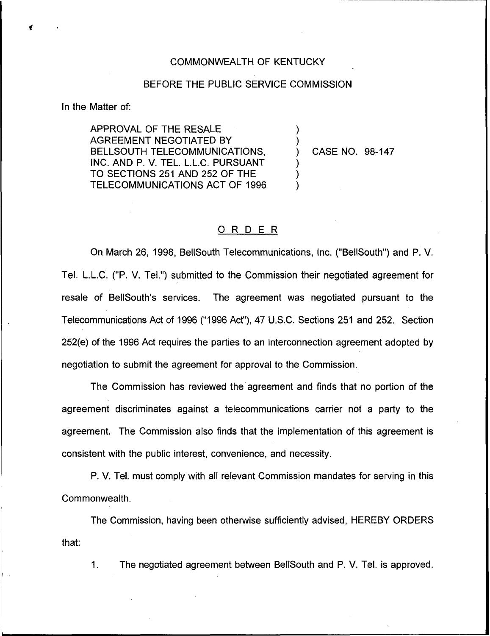## COMMONWEALTH OF KENTUCKY

## BEFORE THE PUBLIC SERVICE COMMISSION

) )

) ) )

In the Matter of:

APPROVAL OF THE RESALE AGREEMENT NEGOTIATED BY BELLSOUTH TELECOMMUNICATIONS, INC. AND P. V. TEL. L.L.C. PURSUANT TO SECTIONS 251 AND 252 OF THE TELECOMMUNICATIONS ACT OF 1996

) CASE NO. 98-147

## ORDER

On March 26, 1998, BellSouth Telecommunications, Inc. ("BellSouth") and P. V. Tel. L.L.C. ("P. V. Tel.") submitted to the Commission their negotiated agreement for resale of BellSouth's services. The agreement was negotiated pursuant to the Telecommunications Act of 1996 ("1996Act"), 47 U.S.C. Sections 251 and 252. Section 252(e) of the 1996 Act requires the parties to an interconnection agreement adopted by negotiation to submit the agreement for approval to the Commission.

The Commission has reviewed the agreement and finds that no portion of the agreement discriminates against a telecommunications carrier not a party to the agreement. The Commission also finds that the implementation of this agreement is consistent with the public interest, convenience, and necessity.

P. V. Tel. must comply with all relevant Commission mandates for serving in this Commonwealth.

The Commission, having been otherwise sufficiently advised, HEREBY ORDERS that:

 $\mathbf{1}$ . The negotiated agreement between BellSouth and P. V. Tel. is approved.